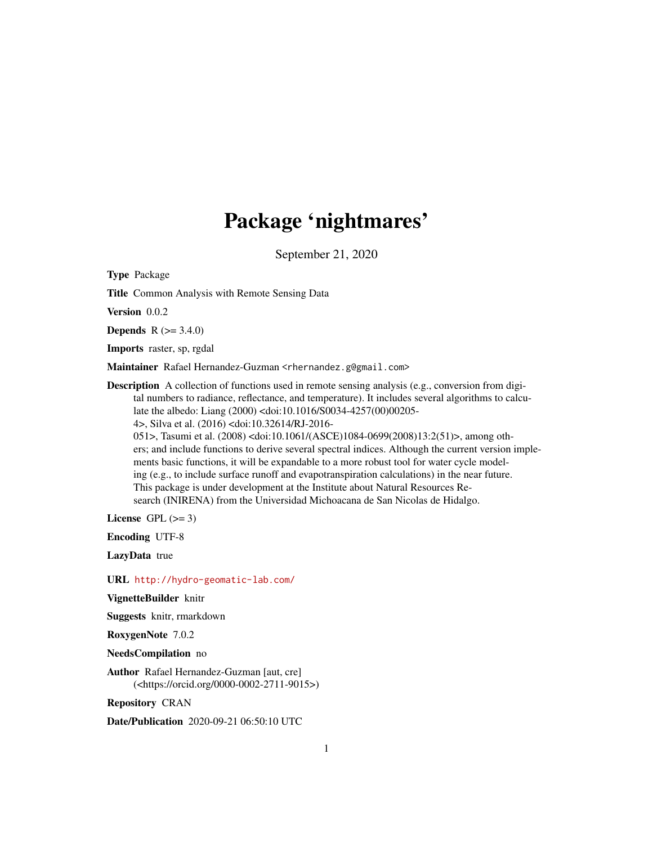# Package 'nightmares'

September 21, 2020

Type Package

Title Common Analysis with Remote Sensing Data

Version 0.0.2

**Depends**  $R (= 3.4.0)$ 

Imports raster, sp, rgdal

Maintainer Rafael Hernandez-Guzman <rhernandez.g@gmail.com>

Description A collection of functions used in remote sensing analysis (e.g., conversion from digital numbers to radiance, reflectance, and temperature). It includes several algorithms to calculate the albedo: Liang (2000) <doi:10.1016/S0034-4257(00)00205- 4>, Silva et al. (2016) <doi:10.32614/RJ-2016- 051>, Tasumi et al. (2008) <doi:10.1061/(ASCE)1084-0699(2008)13:2(51)>, among oth-

ers; and include functions to derive several spectral indices. Although the current version implements basic functions, it will be expandable to a more robust tool for water cycle modeling (e.g., to include surface runoff and evapotranspiration calculations) in the near future. This package is under development at the Institute about Natural Resources Research (INIRENA) from the Universidad Michoacana de San Nicolas de Hidalgo.

License GPL  $(>= 3)$ 

Encoding UTF-8

LazyData true

URL <http://hydro-geomatic-lab.com/>

VignetteBuilder knitr

Suggests knitr, rmarkdown

RoxygenNote 7.0.2

NeedsCompilation no

Author Rafael Hernandez-Guzman [aut, cre] (<https://orcid.org/0000-0002-2711-9015>)

Repository CRAN

Date/Publication 2020-09-21 06:50:10 UTC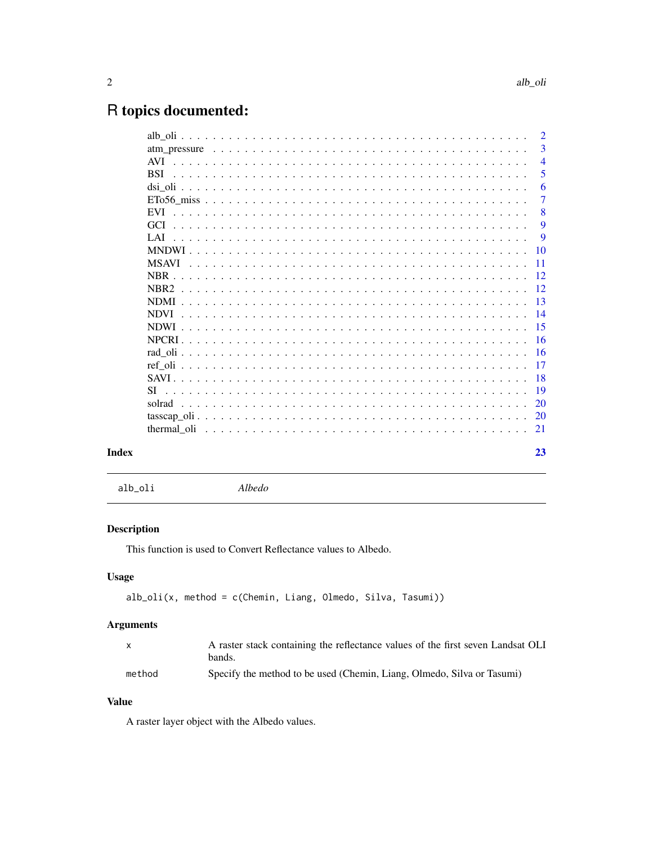# <span id="page-1-0"></span>R topics documented:

|       |             | $\overline{2}$  |
|-------|-------------|-----------------|
|       |             | 3               |
|       | AVI.        | $\overline{4}$  |
|       | <b>BSI</b>  | 5               |
|       |             | 6               |
|       |             | $\overline{7}$  |
|       | <b>EVI</b>  | 8               |
|       |             | 9               |
|       | LAT         | 9               |
|       |             | 10              |
|       |             | $\overline{11}$ |
|       |             |                 |
|       |             | -12             |
|       | <b>NDMI</b> | -13             |
|       | <b>NDVI</b> | $\overline{14}$ |
|       |             | -15             |
|       |             |                 |
|       |             |                 |
|       |             | $\overline{17}$ |
|       |             | -18             |
|       | SI.         | -19             |
|       | solrad      | 20              |
|       |             | -20             |
|       |             |                 |
| Index |             | 23              |
|       |             |                 |

alb\_oli *Albedo*

# Description

This function is used to Convert Reflectance values to Albedo.

# Usage

```
alb_oli(x, method = c(Chemin, Liang, Olmedo, Silva, Tasumi))
```
# Arguments

| X.     | A raster stack containing the reflectance values of the first seven Landsat OLI |
|--------|---------------------------------------------------------------------------------|
|        | bands.                                                                          |
| method | Specify the method to be used (Chemin, Liang, Olmedo, Silva or Tasumi)          |

# Value

A raster layer object with the Albedo values.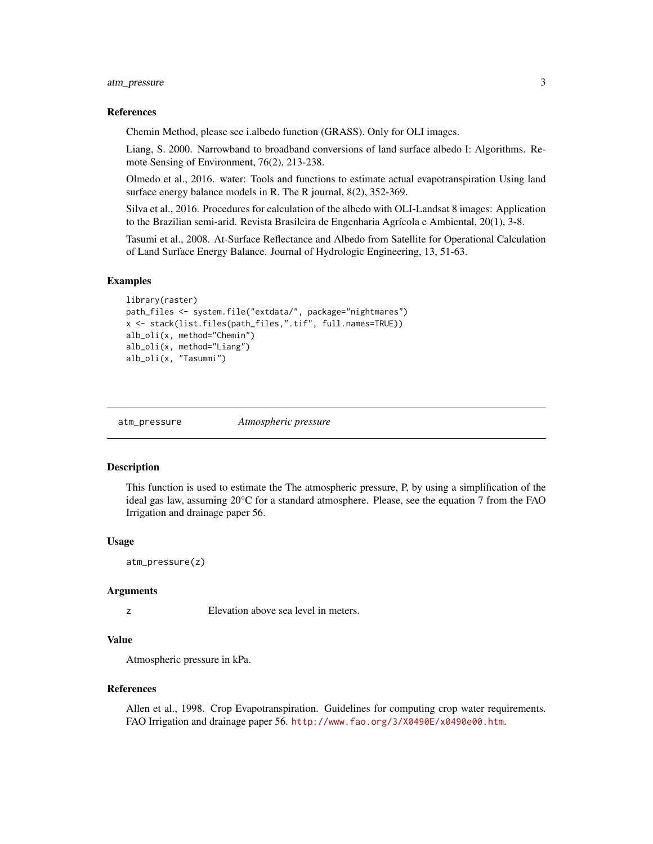#### <span id="page-2-0"></span>References

Chemin Method, please see i.albedo function (GRASS). Only for OLI images.

Liang, S. 2000. Narrowband to broadband conversions of land surface albedo I: Algorithms. Remote Sensing of Environment, 76(2), 213-238.

Olmedo et al., 2016. water: Tools and functions to estimate actual evapotranspiration Using land surface energy balance models in R. The R journal, 8(2), 352-369.

Silva et al., 2016. Procedures for calculation of the albedo with OLI-Landsat 8 images: Application to the Brazilian semi-arid. Revista Brasileira de Engenharia Agrícola e Ambiental, 20(1), 3-8.

Tasumi et al., 2008. At-Surface Reflectance and Albedo from Satellite for Operational Calculation of Land Surface Energy Balance. Journal of Hydrologic Engineering, 13, 51-63.

#### Examples

```
library(raster)
path_files <- system.file("extdata/", package="nightmares")
x <- stack(list.files(path_files,".tif", full.names=TRUE))
alb_oli(x, method="Chemin")
alb_oli(x, method="Liang")
alb_oli(x, "Tasummi")
```
atm\_pressure *Atmospheric pressure*

#### **Description**

This function is used to estimate the The atmospheric pressure, P, by using a simplification of the ideal gas law, assuming 20°C for a standard atmosphere. Please, see the equation 7 from the FAO Irrigation and drainage paper 56.

#### Usage

```
atm_pressure(z)
```
#### Arguments

z Elevation above sea level in meters.

# Value

Atmospheric pressure in kPa.

#### References

Allen et al., 1998. Crop Evapotranspiration. Guidelines for computing crop water requirements. FAO Irrigation and drainage paper 56. <http://www.fao.org/3/X0490E/x0490e00.htm>.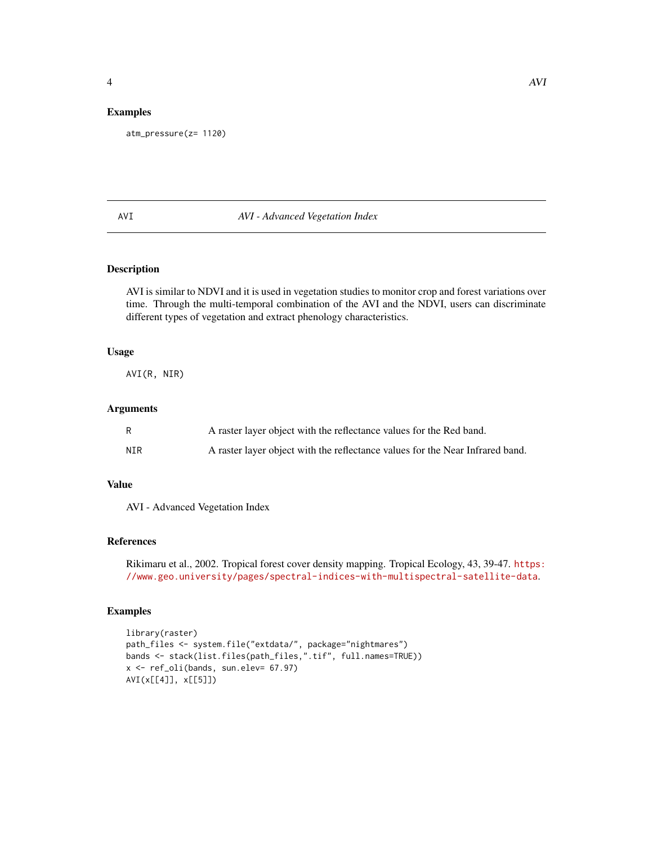#### <span id="page-3-0"></span>Examples

```
atm_pressure(z= 1120)
```
# AVI *AVI - Advanced Vegetation Index*

# Description

AVI is similar to NDVI and it is used in vegetation studies to monitor crop and forest variations over time. Through the multi-temporal combination of the AVI and the NDVI, users can discriminate different types of vegetation and extract phenology characteristics.

#### Usage

AVI(R, NIR)

#### Arguments

| R   | A raster layer object with the reflectance values for the Red band.           |
|-----|-------------------------------------------------------------------------------|
| NIR | A raster layer object with the reflectance values for the Near Infrared band. |

# Value

AVI - Advanced Vegetation Index

#### References

```
Rikimaru et al., 2002. Tropical forest cover density mapping. Tropical Ecology, 43, 39-47. https:
//www.geo.university/pages/spectral-indices-with-multispectral-satellite-data.
```

```
library(raster)
path_files <- system.file("extdata/", package="nightmares")
bands <- stack(list.files(path_files,".tif", full.names=TRUE))
x <- ref_oli(bands, sun.elev= 67.97)
AVI(x[[4]], x[[5]])
```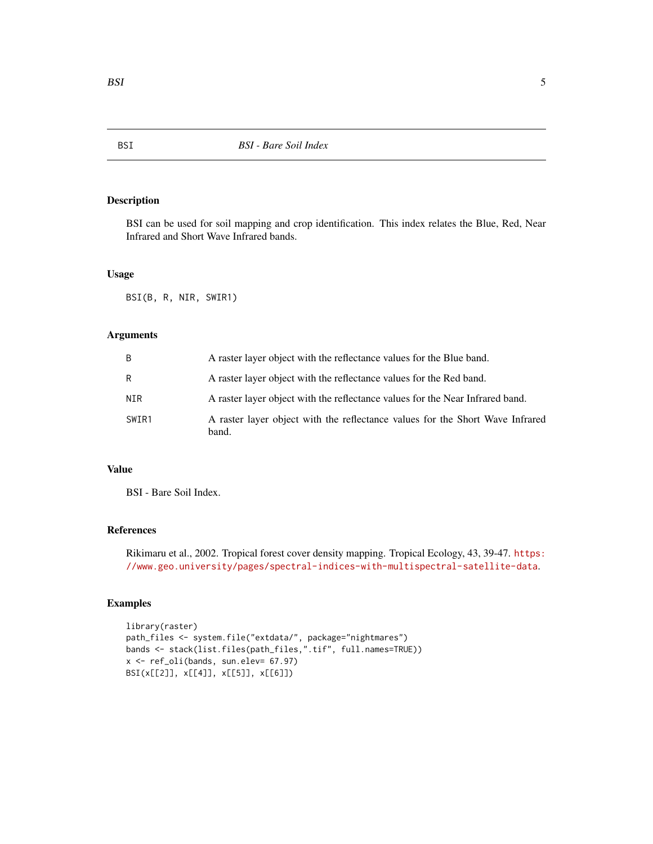BSI can be used for soil mapping and crop identification. This index relates the Blue, Red, Near Infrared and Short Wave Infrared bands.

#### Usage

BSI(B, R, NIR, SWIR1)

# Arguments

| B     | A raster layer object with the reflectance values for the Blue band.                   |
|-------|----------------------------------------------------------------------------------------|
| R     | A raster layer object with the reflectance values for the Red band.                    |
| NIR   | A raster layer object with the reflectance values for the Near Infrared band.          |
| SWIR1 | A raster layer object with the reflectance values for the Short Wave Infrared<br>band. |

# Value

BSI - Bare Soil Index.

# References

Rikimaru et al., 2002. Tropical forest cover density mapping. Tropical Ecology, 43, 39-47. [https:](https://www.geo.university/pages/spectral-indices-with-multispectral-satellite-data) [//www.geo.university/pages/spectral-indices-with-multispectral-satellite-data](https://www.geo.university/pages/spectral-indices-with-multispectral-satellite-data).

```
library(raster)
path_files <- system.file("extdata/", package="nightmares")
bands <- stack(list.files(path_files,".tif", full.names=TRUE))
x <- ref_oli(bands, sun.elev= 67.97)
BSI(x[[2]], x[[4]], x[[5]], x[[6]])
```
<span id="page-4-0"></span>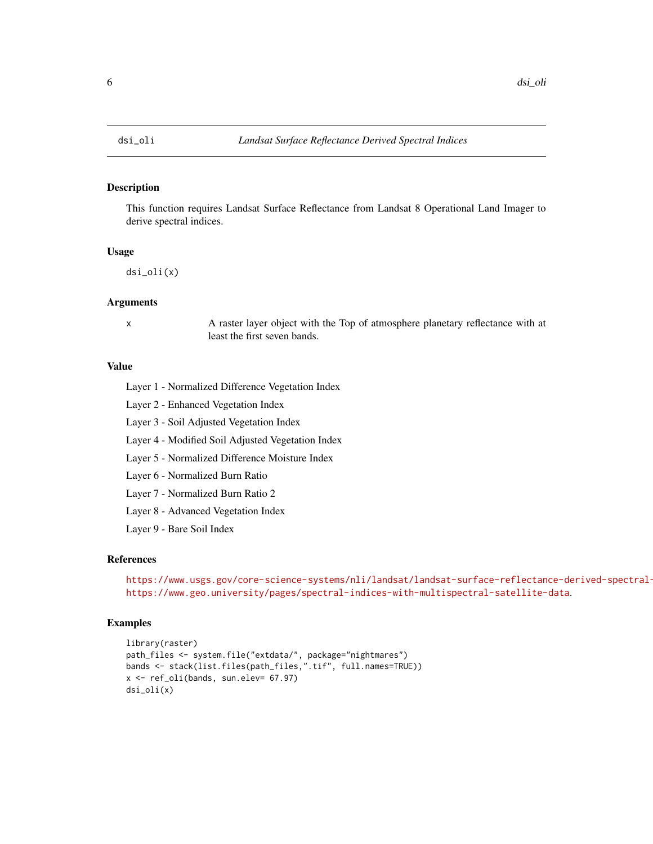<span id="page-5-0"></span>

This function requires Landsat Surface Reflectance from Landsat 8 Operational Land Imager to derive spectral indices.

# Usage

dsi\_oli(x)

#### Arguments

x A raster layer object with the Top of atmosphere planetary reflectance with at least the first seven bands.

# Value

Layer 1 - Normalized Difference Vegetation Index

Layer 2 - Enhanced Vegetation Index

Layer 3 - Soil Adjusted Vegetation Index

Layer 4 - Modified Soil Adjusted Vegetation Index

Layer 5 - Normalized Difference Moisture Index

Layer 6 - Normalized Burn Ratio

Layer 7 - Normalized Burn Ratio 2

Layer 8 - Advanced Vegetation Index

Layer 9 - Bare Soil Index

# References

```
https://www.usgs.gov/core-science-systems/nli/landsat/landsat-surface-reflectance-derived-spectral-
https://www.geo.university/pages/spectral-indices-with-multispectral-satellite-data.
```

```
library(raster)
path_files <- system.file("extdata/", package="nightmares")
bands <- stack(list.files(path_files,".tif", full.names=TRUE))
x <- ref_oli(bands, sun.elev= 67.97)
dsi_oli(x)
```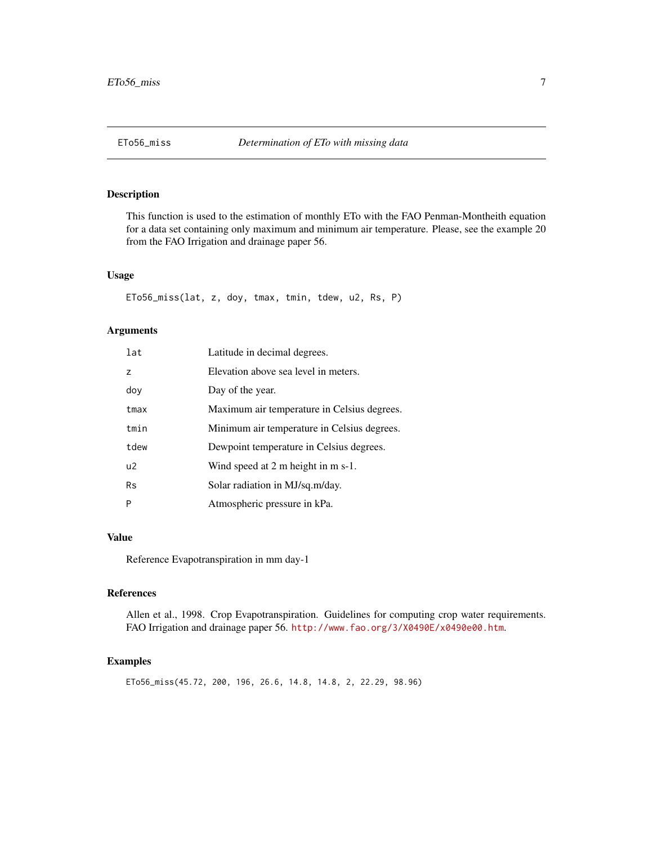<span id="page-6-0"></span>

This function is used to the estimation of monthly ETo with the FAO Penman-Montheith equation for a data set containing only maximum and minimum air temperature. Please, see the example 20 from the FAO Irrigation and drainage paper 56.

#### Usage

ETo56\_miss(lat, z, doy, tmax, tmin, tdew, u2, Rs, P)

#### Arguments

| lat            | Latitude in decimal degrees.                 |
|----------------|----------------------------------------------|
| $\overline{z}$ | Elevation above sea level in meters.         |
| doy            | Day of the year.                             |
| tmax           | Maximum air temperature in Celsius degrees.  |
| tmin           | Minimum air temperature in Celsius degrees.  |
| tdew           | Dewpoint temperature in Celsius degrees.     |
| U <sup>2</sup> | Wind speed at $2 \text{ m}$ height in m s-1. |
| <b>Rs</b>      | Solar radiation in MJ/sq.m/day.              |
| P              | Atmospheric pressure in kPa.                 |

#### Value

Reference Evapotranspiration in mm day-1

# References

Allen et al., 1998. Crop Evapotranspiration. Guidelines for computing crop water requirements. FAO Irrigation and drainage paper 56. <http://www.fao.org/3/X0490E/x0490e00.htm>.

#### Examples

ETo56\_miss(45.72, 200, 196, 26.6, 14.8, 14.8, 2, 22.29, 98.96)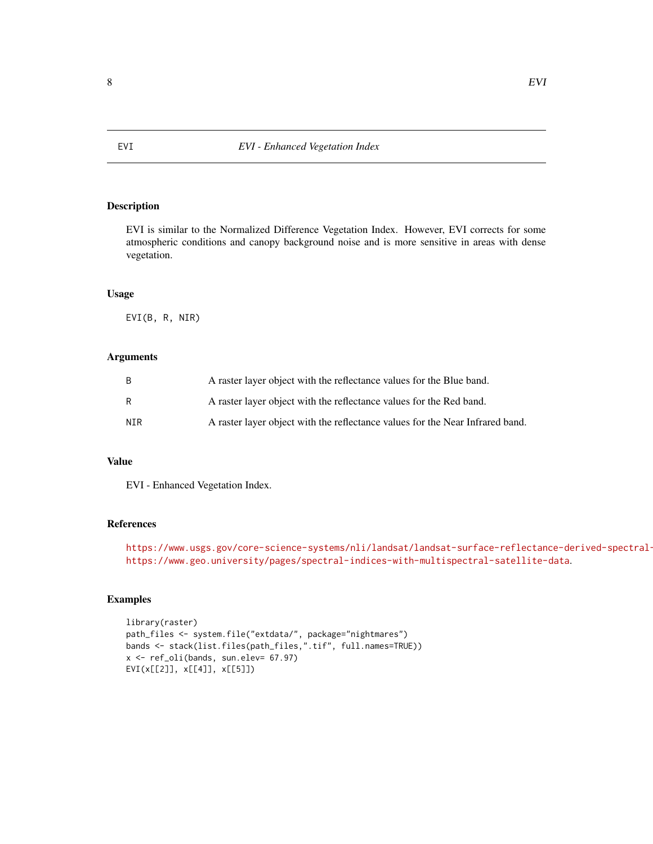<span id="page-7-0"></span>EVI is similar to the Normalized Difference Vegetation Index. However, EVI corrects for some atmospheric conditions and canopy background noise and is more sensitive in areas with dense vegetation.

# Usage

EVI(B, R, NIR)

# Arguments

| - B | A raster layer object with the reflectance values for the Blue band.          |
|-----|-------------------------------------------------------------------------------|
| - R | A raster layer object with the reflectance values for the Red band.           |
| NTR | A raster layer object with the reflectance values for the Near Infrared band. |

#### Value

EVI - Enhanced Vegetation Index.

# References

```
https://www.usgs.gov/core-science-systems/nli/landsat/landsat-surface-reflectance-derived-spectral-
https://www.geo.university/pages/spectral-indices-with-multispectral-satellite-data.
```

```
library(raster)
path_files <- system.file("extdata/", package="nightmares")
bands <- stack(list.files(path_files,".tif", full.names=TRUE))
x <- ref_oli(bands, sun.elev= 67.97)
EVI(x[[2]], x[[4]], x[[5]])
```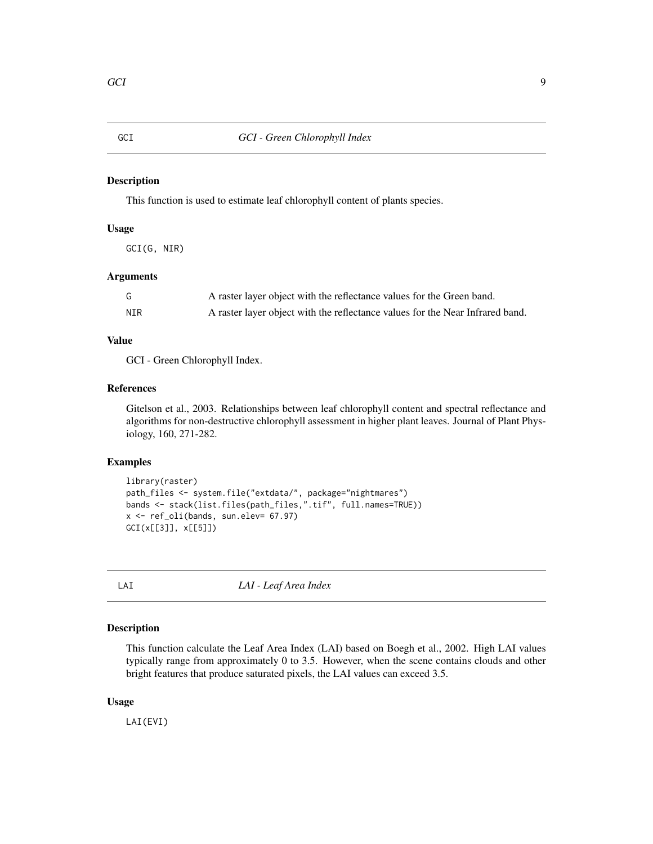<span id="page-8-0"></span>This function is used to estimate leaf chlorophyll content of plants species.

# Usage

GCI(G, NIR)

# Arguments

| $\overline{\phantom{0}}$ | A raster layer object with the reflectance values for the Green band.         |
|--------------------------|-------------------------------------------------------------------------------|
| NIR                      | A raster layer object with the reflectance values for the Near Infrared band. |

# Value

GCI - Green Chlorophyll Index.

#### References

Gitelson et al., 2003. Relationships between leaf chlorophyll content and spectral reflectance and algorithms for non-destructive chlorophyll assessment in higher plant leaves. Journal of Plant Physiology, 160, 271-282.

# Examples

```
library(raster)
path_files <- system.file("extdata/", package="nightmares")
bands <- stack(list.files(path_files,".tif", full.names=TRUE))
x <- ref_oli(bands, sun.elev= 67.97)
GCI(x[[3]], x[[5]])
```
LAI *LAI - Leaf Area Index*

# Description

This function calculate the Leaf Area Index (LAI) based on Boegh et al., 2002. High LAI values typically range from approximately 0 to 3.5. However, when the scene contains clouds and other bright features that produce saturated pixels, the LAI values can exceed 3.5.

#### Usage

LAI(EVI)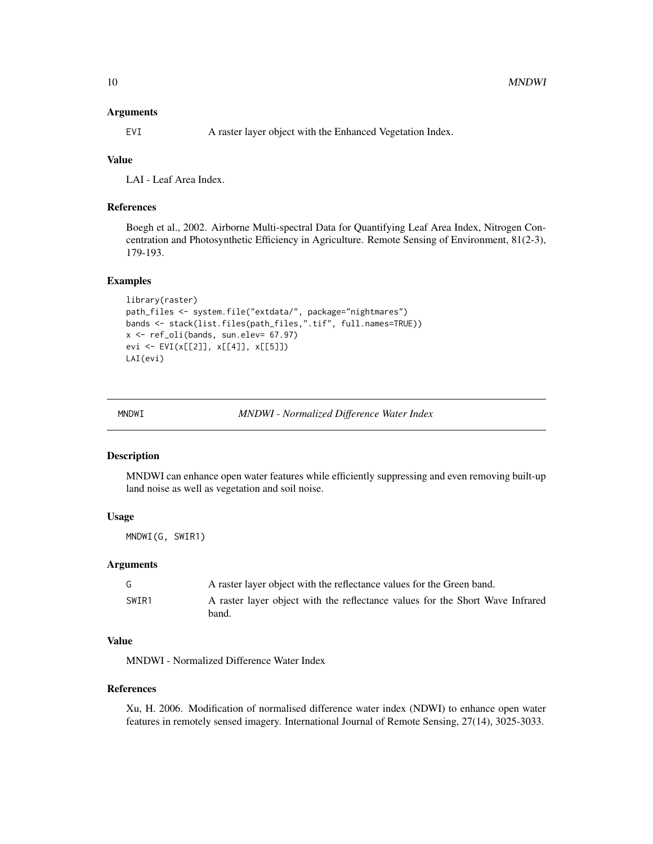#### <span id="page-9-0"></span>Arguments

EVI A raster layer object with the Enhanced Vegetation Index.

# Value

LAI - Leaf Area Index.

#### References

Boegh et al., 2002. Airborne Multi-spectral Data for Quantifying Leaf Area Index, Nitrogen Concentration and Photosynthetic Efficiency in Agriculture. Remote Sensing of Environment, 81(2-3), 179-193.

# Examples

```
library(raster)
path_files <- system.file("extdata/", package="nightmares")
bands <- stack(list.files(path_files,".tif", full.names=TRUE))
x <- ref_oli(bands, sun.elev= 67.97)
evi <- EVI(x[[2]], x[[4]], x[[5]])
LAI(evi)
```
MNDWI *MNDWI - Normalized Difference Water Index*

# Description

MNDWI can enhance open water features while efficiently suppressing and even removing built-up land noise as well as vegetation and soil noise.

# Usage

MNDWI(G, SWIR1)

#### Arguments

| G     | A raster layer object with the reflectance values for the Green band.                  |
|-------|----------------------------------------------------------------------------------------|
| SWIR1 | A raster layer object with the reflectance values for the Short Wave Infrared<br>band. |

#### Value

MNDWI - Normalized Difference Water Index

#### References

Xu, H. 2006. Modification of normalised difference water index (NDWI) to enhance open water features in remotely sensed imagery. International Journal of Remote Sensing, 27(14), 3025-3033.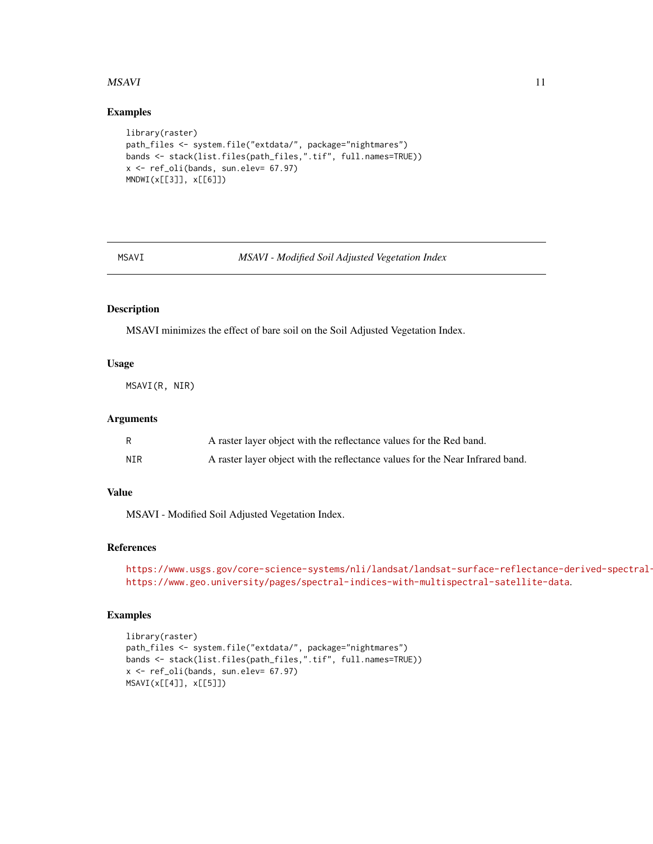#### <span id="page-10-0"></span> $MSAVI$  11

#### Examples

```
library(raster)
path_files <- system.file("extdata/", package="nightmares")
bands <- stack(list.files(path_files,".tif", full.names=TRUE))
x <- ref_oli(bands, sun.elev= 67.97)
MNDWI(x[[3]], x[[6]])
```
MSAVI *MSAVI - Modified Soil Adjusted Vegetation Index*

# Description

MSAVI minimizes the effect of bare soil on the Soil Adjusted Vegetation Index.

# Usage

MSAVI(R, NIR)

#### Arguments

|     | A raster layer object with the reflectance values for the Red band.           |
|-----|-------------------------------------------------------------------------------|
| NIR | A raster layer object with the reflectance values for the Near Infrared band. |

# Value

MSAVI - Modified Soil Adjusted Vegetation Index.

# References

```
https://www.usgs.gov/core-science-systems/nli/landsat/landsat-surface-reflectance-derived-spectral-
https://www.geo.university/pages/spectral-indices-with-multispectral-satellite-data.
```

```
library(raster)
path_files <- system.file("extdata/", package="nightmares")
bands <- stack(list.files(path_files,".tif", full.names=TRUE))
x <- ref_oli(bands, sun.elev= 67.97)
MSAVI(x[[4]], x[[5]])
```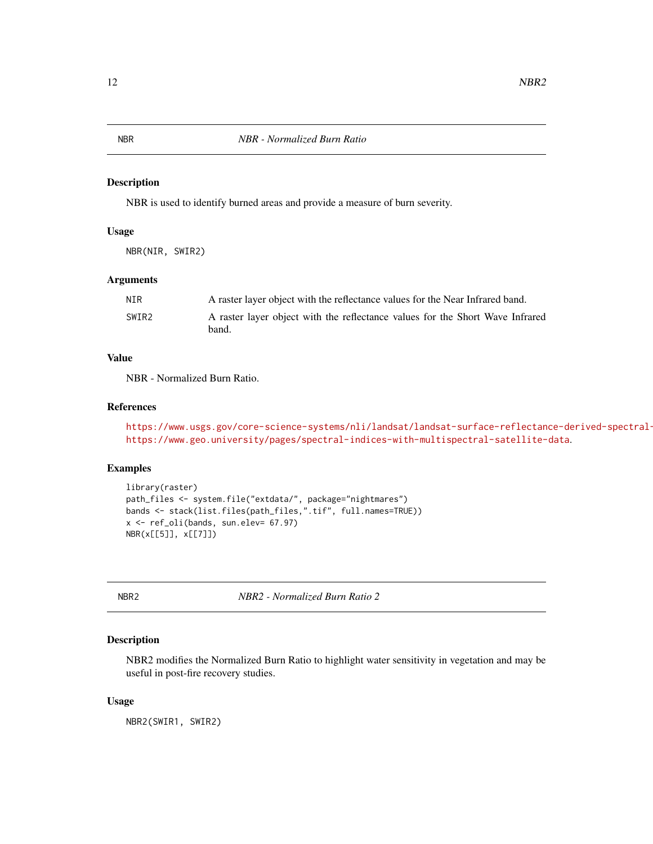<span id="page-11-0"></span>

NBR is used to identify burned areas and provide a measure of burn severity.

# Usage

NBR(NIR, SWIR2)

#### Arguments

| NIR   | A raster layer object with the reflectance values for the Near Infrared band.          |
|-------|----------------------------------------------------------------------------------------|
| SWIR2 | A raster layer object with the reflectance values for the Short Wave Infrared<br>band. |

# Value

NBR - Normalized Burn Ratio.

# References

```
https://www.usgs.gov/core-science-systems/nli/landsat/landsat-surface-reflectance-derived-spectral-
https://www.geo.university/pages/spectral-indices-with-multispectral-satellite-data.
```
# Examples

```
library(raster)
path_files <- system.file("extdata/", package="nightmares")
bands <- stack(list.files(path_files,".tif", full.names=TRUE))
x <- ref_oli(bands, sun.elev= 67.97)
NBR(x[[5]], x[[7]])
```
NBR2 *NBR2 - Normalized Burn Ratio 2*

# Description

NBR2 modifies the Normalized Burn Ratio to highlight water sensitivity in vegetation and may be useful in post-fire recovery studies.

#### Usage

NBR2(SWIR1, SWIR2)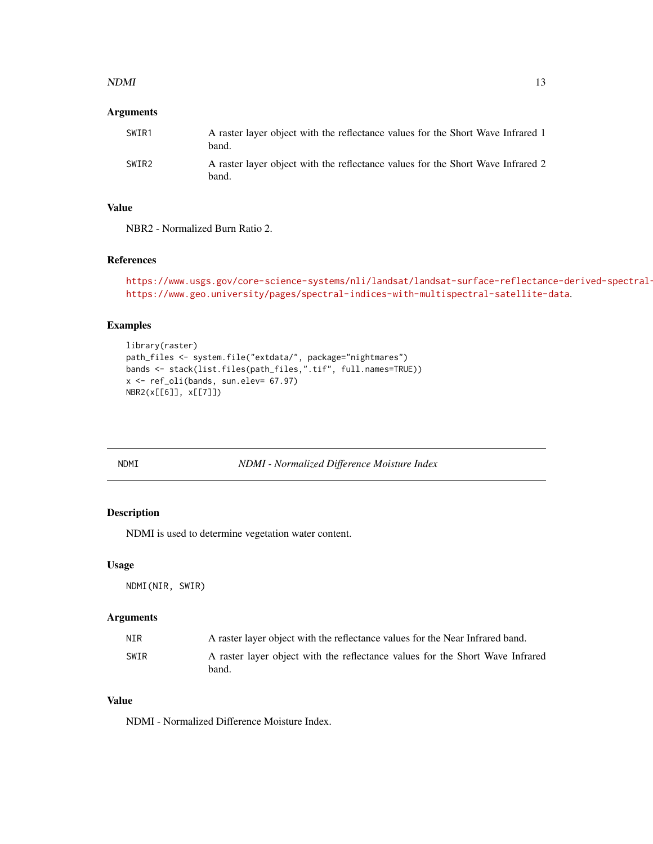#### <span id="page-12-0"></span> $NDMI$  13

# Arguments

| SWIR1 | A raster layer object with the reflectance values for the Short Wave Infrared 1<br>band. |
|-------|------------------------------------------------------------------------------------------|
| SWIR2 | A raster layer object with the reflectance values for the Short Wave Infrared 2<br>band. |

# Value

NBR2 - Normalized Burn Ratio 2.

# References

```
https://www.usgs.gov/core-science-systems/nli/landsat/landsat-surface-reflectance-derived-spectral-
https://www.geo.university/pages/spectral-indices-with-multispectral-satellite-data.
```
# Examples

```
library(raster)
path_files <- system.file("extdata/", package="nightmares")
bands <- stack(list.files(path_files,".tif", full.names=TRUE))
x <- ref_oli(bands, sun.elev= 67.97)
NBR2(x[[6]], x[[7]])
```
NDMI *NDMI - Normalized Difference Moisture Index*

# Description

NDMI is used to determine vegetation water content.

#### Usage

NDMI(NIR, SWIR)

# Arguments

| NIR  | A raster layer object with the reflectance values for the Near Infrared band.          |
|------|----------------------------------------------------------------------------------------|
| SWIR | A raster layer object with the reflectance values for the Short Wave Infrared<br>band. |

#### Value

NDMI - Normalized Difference Moisture Index.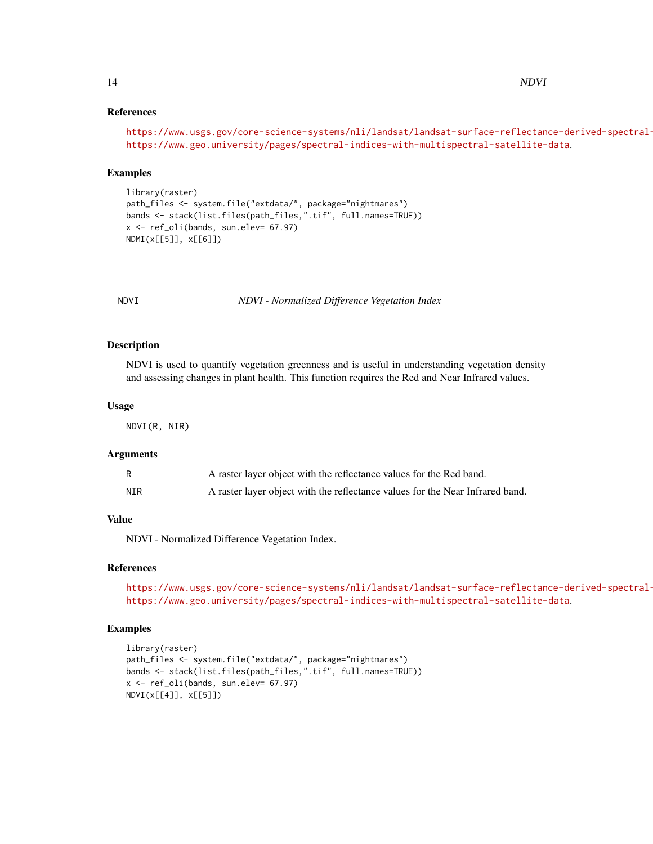#### References

```
https://www.usgs.gov/core-science-systems/nli/landsat/landsat-surface-reflectance-derived-spectral-
https://www.geo.university/pages/spectral-indices-with-multispectral-satellite-data.
```
#### Examples

```
library(raster)
path_files <- system.file("extdata/", package="nightmares")
bands <- stack(list.files(path_files,".tif", full.names=TRUE))
x <- ref_oli(bands, sun.elev= 67.97)
NDMI(x[[5]], x[[6]])
```
NDVI *NDVI - Normalized Difference Vegetation Index*

# Description

NDVI is used to quantify vegetation greenness and is useful in understanding vegetation density and assessing changes in plant health. This function requires the Red and Near Infrared values.

#### Usage

NDVI(R, NIR)

#### Arguments

|     | A raster layer object with the reflectance values for the Red band.           |
|-----|-------------------------------------------------------------------------------|
| NIR | A raster layer object with the reflectance values for the Near Infrared band. |

#### Value

NDVI - Normalized Difference Vegetation Index.

# References

https://www.usgs.gov/core-science-systems/nli/landsat/landsat-surface-reflectance-derived-spectral<https://www.geo.university/pages/spectral-indices-with-multispectral-satellite-data>.

```
library(raster)
path_files <- system.file("extdata/", package="nightmares")
bands <- stack(list.files(path_files,".tif", full.names=TRUE))
x <- ref_oli(bands, sun.elev= 67.97)
NDVI(x[[4]], x[[5]])
```
<span id="page-13-0"></span>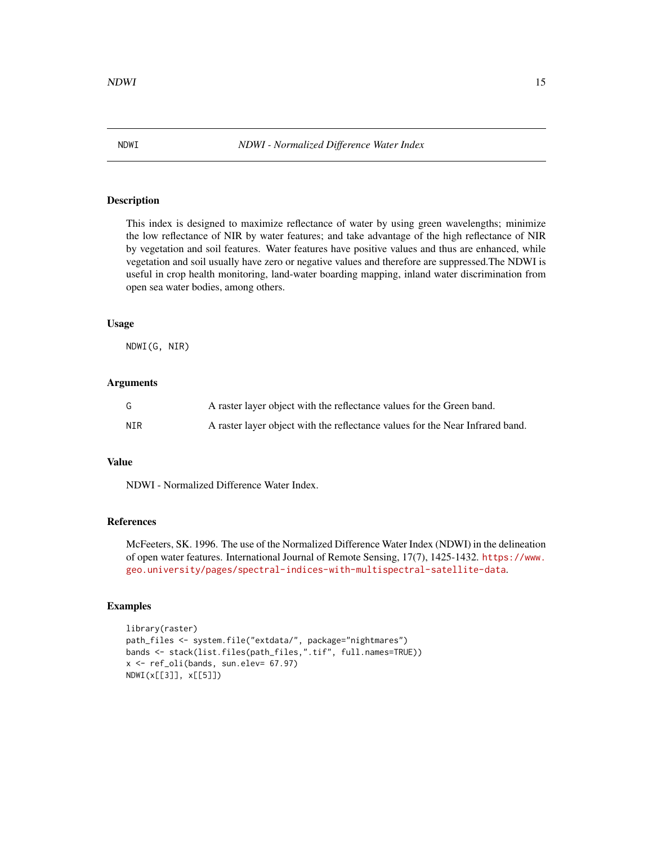This index is designed to maximize reflectance of water by using green wavelengths; minimize the low reflectance of NIR by water features; and take advantage of the high reflectance of NIR by vegetation and soil features. Water features have positive values and thus are enhanced, while vegetation and soil usually have zero or negative values and therefore are suppressed.The NDWI is useful in crop health monitoring, land-water boarding mapping, inland water discrimination from open sea water bodies, among others.

#### Usage

NDWI(G, NIR)

#### **Arguments**

| G   | A raster layer object with the reflectance values for the Green band.         |
|-----|-------------------------------------------------------------------------------|
| NIR | A raster layer object with the reflectance values for the Near Infrared band. |

# Value

NDWI - Normalized Difference Water Index.

# References

McFeeters, SK. 1996. The use of the Normalized Difference Water Index (NDWI) in the delineation of open water features. International Journal of Remote Sensing, 17(7), 1425-1432. [https://www.](https://www.geo.university/pages/spectral-indices-with-multispectral-satellite-data) [geo.university/pages/spectral-indices-with-multispectral-satellite-data](https://www.geo.university/pages/spectral-indices-with-multispectral-satellite-data).

```
library(raster)
path_files <- system.file("extdata/", package="nightmares")
bands <- stack(list.files(path_files,".tif", full.names=TRUE))
x <- ref_oli(bands, sun.elev= 67.97)
NDWI(x[[3]], x[[5]])
```
<span id="page-14-0"></span>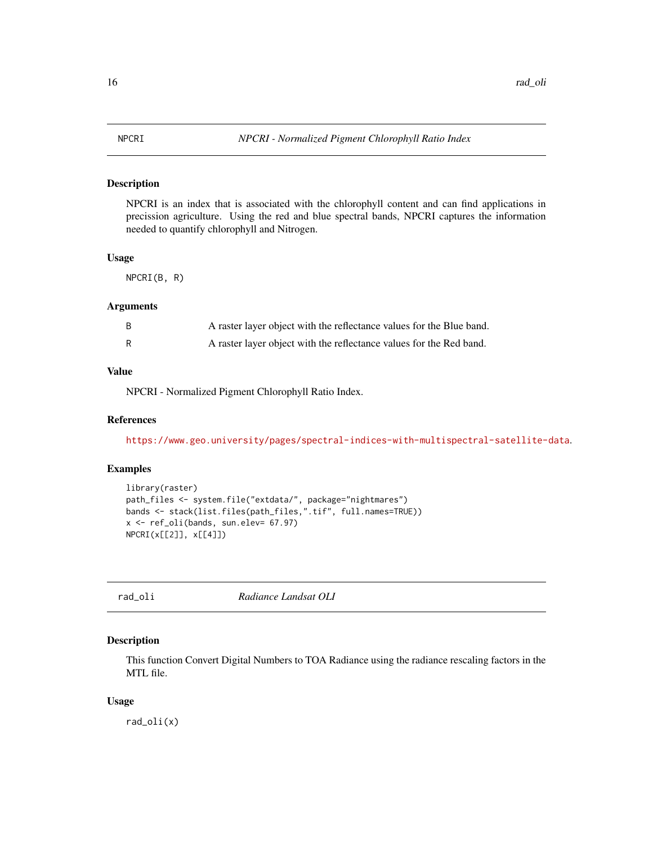<span id="page-15-0"></span>NPCRI is an index that is associated with the chlorophyll content and can find applications in precission agriculture. Using the red and blue spectral bands, NPCRI captures the information needed to quantify chlorophyll and Nitrogen.

# Usage

NPCRI(B, R)

#### Arguments

| B | A raster layer object with the reflectance values for the Blue band. |
|---|----------------------------------------------------------------------|
| R | A raster layer object with the reflectance values for the Red band.  |

# Value

NPCRI - Normalized Pigment Chlorophyll Ratio Index.

#### References

<https://www.geo.university/pages/spectral-indices-with-multispectral-satellite-data>.

# Examples

```
library(raster)
path_files <- system.file("extdata/", package="nightmares")
bands <- stack(list.files(path_files,".tif", full.names=TRUE))
x <- ref_oli(bands, sun.elev= 67.97)
NPCRI(x[[2]], x[[4]])
```
rad\_oli *Radiance Landsat OLI*

# Description

This function Convert Digital Numbers to TOA Radiance using the radiance rescaling factors in the MTL file.

#### Usage

rad\_oli(x)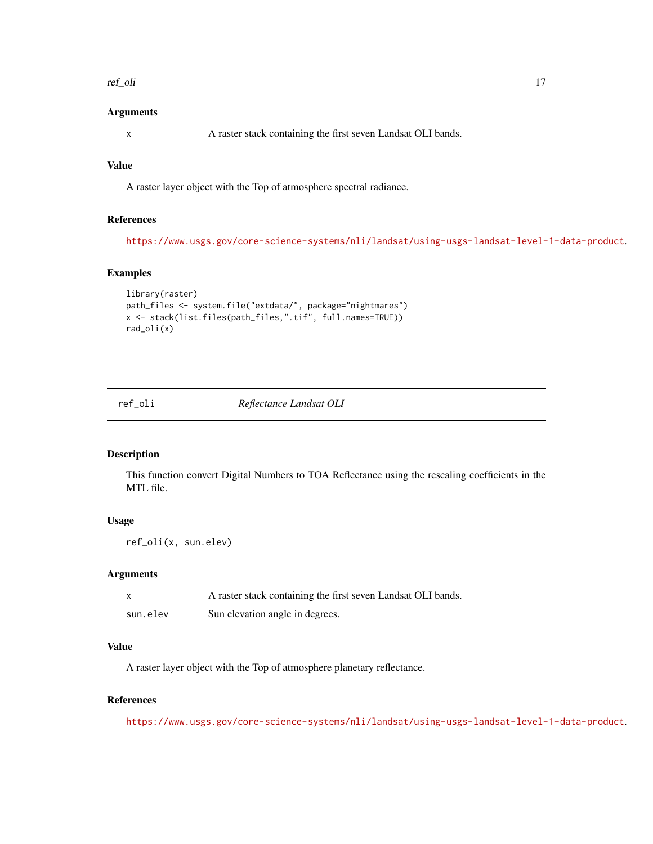#### <span id="page-16-0"></span>ref\_oli 17

#### Arguments

x A raster stack containing the first seven Landsat OLI bands.

# Value

A raster layer object with the Top of atmosphere spectral radiance.

#### References

<https://www.usgs.gov/core-science-systems/nli/landsat/using-usgs-landsat-level-1-data-product>.

#### Examples

```
library(raster)
path_files <- system.file("extdata/", package="nightmares")
x <- stack(list.files(path_files,".tif", full.names=TRUE))
rad_oli(x)
```
ref\_oli *Reflectance Landsat OLI*

# Description

This function convert Digital Numbers to TOA Reflectance using the rescaling coefficients in the MTL file.

# Usage

ref\_oli(x, sun.elev)

# Arguments

| X        | A raster stack containing the first seven Landsat OLI bands. |
|----------|--------------------------------------------------------------|
| sun.elev | Sun elevation angle in degrees.                              |

#### Value

A raster layer object with the Top of atmosphere planetary reflectance.

#### References

<https://www.usgs.gov/core-science-systems/nli/landsat/using-usgs-landsat-level-1-data-product>.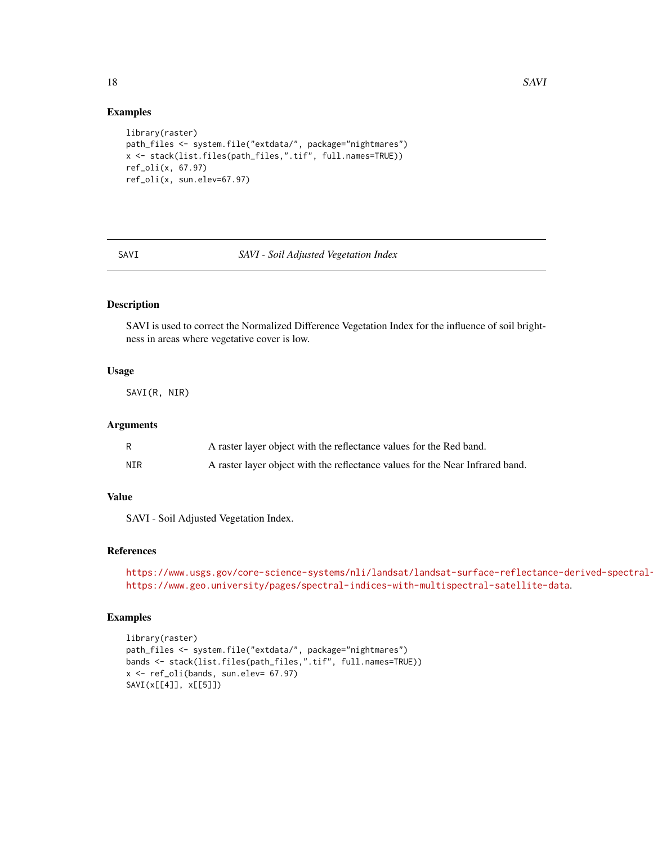#### Examples

```
library(raster)
path_files <- system.file("extdata/", package="nightmares")
x <- stack(list.files(path_files,".tif", full.names=TRUE))
ref_oli(x, 67.97)
ref_oli(x, sun.elev=67.97)
```
#### SAVI *SAVI - Soil Adjusted Vegetation Index*

# Description

SAVI is used to correct the Normalized Difference Vegetation Index for the influence of soil brightness in areas where vegetative cover is low.

#### Usage

SAVI(R, NIR)

#### Arguments

|     | A raster layer object with the reflectance values for the Red band.           |
|-----|-------------------------------------------------------------------------------|
| NIR | A raster layer object with the reflectance values for the Near Infrared band. |

#### Value

SAVI - Soil Adjusted Vegetation Index.

# References

```
https://www.usgs.gov/core-science-systems/nli/landsat/landsat-surface-reflectance-derived-spectral-
https://www.geo.university/pages/spectral-indices-with-multispectral-satellite-data.
```

```
library(raster)
path_files <- system.file("extdata/", package="nightmares")
bands <- stack(list.files(path_files,".tif", full.names=TRUE))
x <- ref_oli(bands, sun.elev= 67.97)
SAVI(x[[4]], x[[5]])
```
<span id="page-17-0"></span>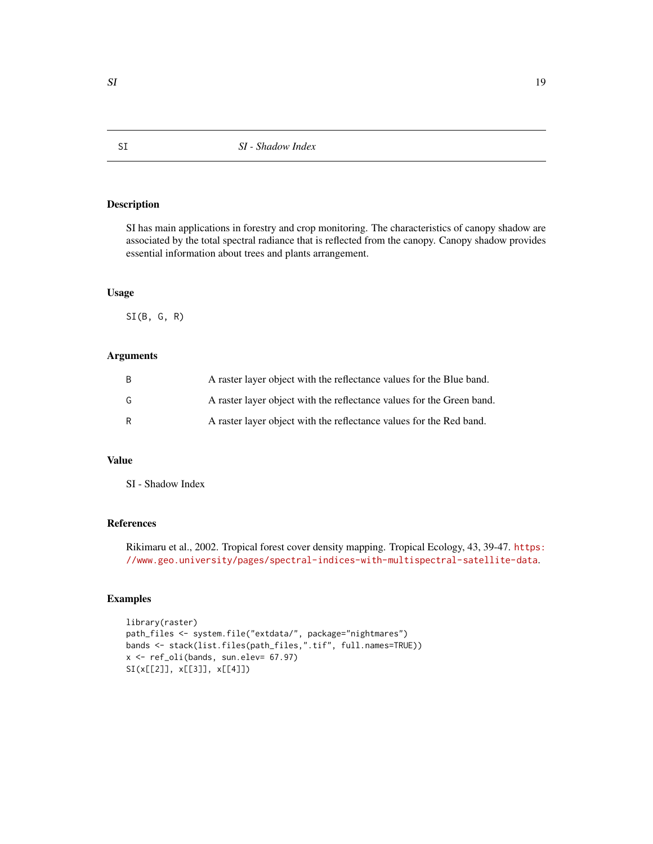<span id="page-18-0"></span>SI has main applications in forestry and crop monitoring. The characteristics of canopy shadow are associated by the total spectral radiance that is reflected from the canopy. Canopy shadow provides essential information about trees and plants arrangement.

### Usage

 $SI(B, G, R)$ 

# Arguments

| B | A raster layer object with the reflectance values for the Blue band.  |
|---|-----------------------------------------------------------------------|
| G | A raster layer object with the reflectance values for the Green band. |
| R | A raster layer object with the reflectance values for the Red band.   |

# Value

SI - Shadow Index

# References

Rikimaru et al., 2002. Tropical forest cover density mapping. Tropical Ecology, 43, 39-47. [https:](https://www.geo.university/pages/spectral-indices-with-multispectral-satellite-data) [//www.geo.university/pages/spectral-indices-with-multispectral-satellite-data](https://www.geo.university/pages/spectral-indices-with-multispectral-satellite-data).

```
library(raster)
path_files <- system.file("extdata/", package="nightmares")
bands <- stack(list.files(path_files,".tif", full.names=TRUE))
x <- ref_oli(bands, sun.elev= 67.97)
SI(x[[2]], x[[3]], x[[4]])
```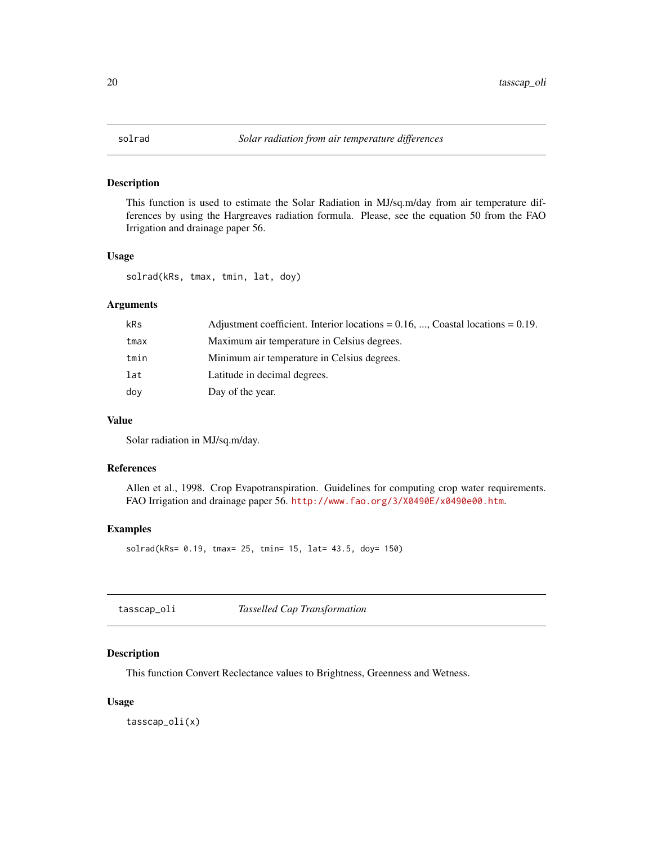<span id="page-19-0"></span>

This function is used to estimate the Solar Radiation in MJ/sq.m/day from air temperature differences by using the Hargreaves radiation formula. Please, see the equation 50 from the FAO Irrigation and drainage paper 56.

#### Usage

solrad(kRs, tmax, tmin, lat, doy)

# Arguments

| kRs  | Adjustment coefficient. Interior locations = $0.16$ , , Coastal locations = $0.19$ . |
|------|--------------------------------------------------------------------------------------|
| tmax | Maximum air temperature in Celsius degrees.                                          |
| tmin | Minimum air temperature in Celsius degrees.                                          |
| lat  | Latitude in decimal degrees.                                                         |
| doy  | Day of the year.                                                                     |

# Value

Solar radiation in MJ/sq.m/day.

# References

Allen et al., 1998. Crop Evapotranspiration. Guidelines for computing crop water requirements. FAO Irrigation and drainage paper 56. <http://www.fao.org/3/X0490E/x0490e00.htm>.

#### Examples

solrad(kRs= 0.19, tmax= 25, tmin= 15, lat= 43.5, doy= 150)

# Description

This function Convert Reclectance values to Brightness, Greenness and Wetness.

#### Usage

tasscap\_oli(x)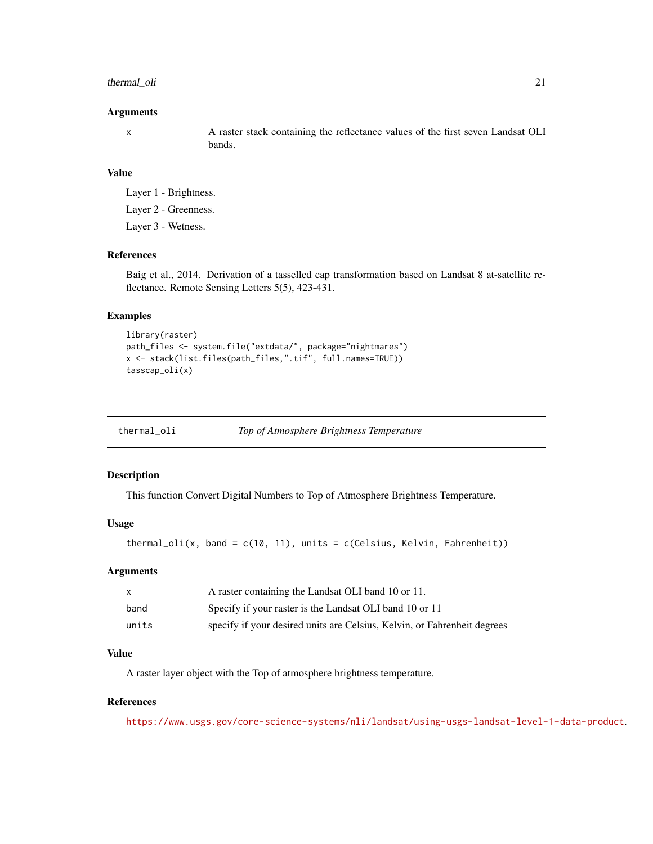#### <span id="page-20-0"></span>thermal\_oli 21

#### Arguments

x A raster stack containing the reflectance values of the first seven Landsat OLI bands.

#### Value

Layer 1 - Brightness. Layer 2 - Greenness. Layer 3 - Wetness.

# References

Baig et al., 2014. Derivation of a tasselled cap transformation based on Landsat 8 at-satellite reflectance. Remote Sensing Letters 5(5), 423-431.

# Examples

```
library(raster)
path_files <- system.file("extdata/", package="nightmares")
x <- stack(list.files(path_files,".tif", full.names=TRUE))
tasscap_oli(x)
```

| thermal_oli | Top of Atmosphere Brightness Temperature |
|-------------|------------------------------------------|
|             |                                          |

#### Description

This function Convert Digital Numbers to Top of Atmosphere Brightness Temperature.

#### Usage

```
thermal_oli(x, band = c(10, 11), units = c(Celsius, Kelvin, Fahrenheit))
```
#### Arguments

| $\mathsf{x}$ | A raster containing the Landsat OLI band 10 or 11.                       |
|--------------|--------------------------------------------------------------------------|
| band         | Specify if your raster is the Landsat OLI band 10 or 11                  |
| units        | specify if your desired units are Celsius, Kelvin, or Fahrenheit degrees |

# Value

A raster layer object with the Top of atmosphere brightness temperature.

# References

<https://www.usgs.gov/core-science-systems/nli/landsat/using-usgs-landsat-level-1-data-product>.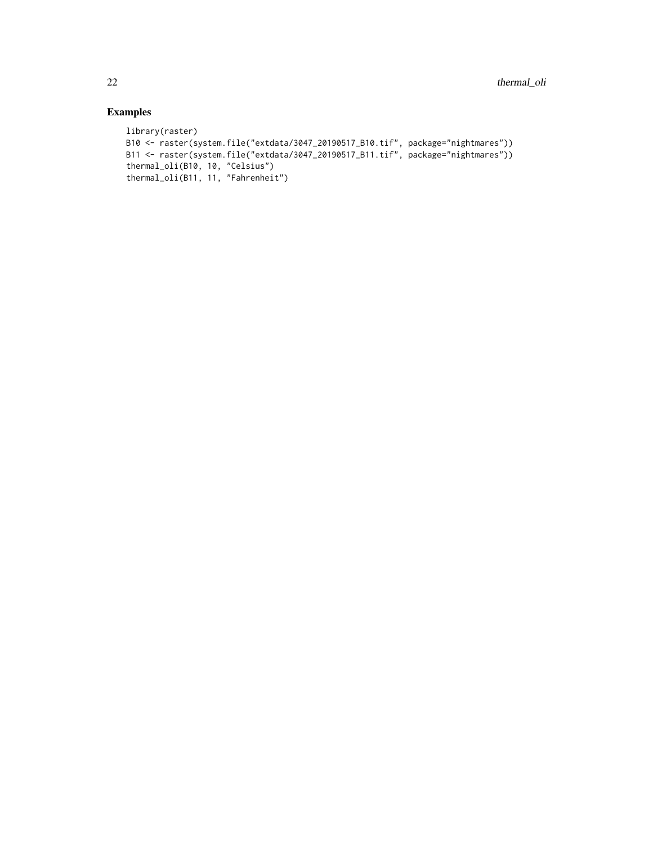```
library(raster)
B10 <- raster(system.file("extdata/3047_20190517_B10.tif", package="nightmares"))
B11 <- raster(system.file("extdata/3047_20190517_B11.tif", package="nightmares"))
thermal_oli(B10, 10, "Celsius")
thermal_oli(B11, 11, "Fahrenheit")
```